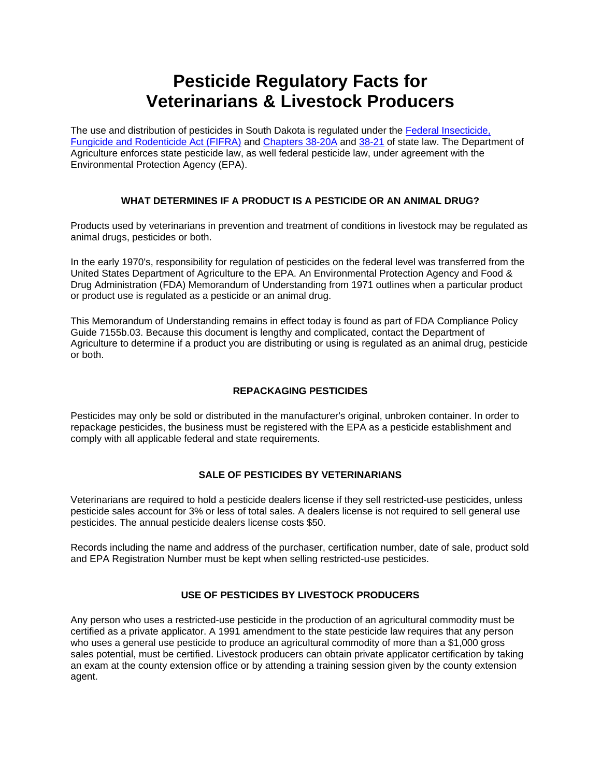# **Pesticide Regulatory Facts for Veterinarians & Livestock Producers**

The use and distribution of pesticides in South Dakota is regulated under the [Federal Insecticide,](http://www.access.gpo.gov/nara/cfr/waisidx_09/40cfrv23_09.html)  [Fungicide and Rodenticide Act \(FIFRA\)](http://www.access.gpo.gov/nara/cfr/waisidx_09/40cfrv23_09.html) and [Chapters 38-20A](http://legis.state.sd.us/statutes/DisplayStatute.aspx?Statute=38-20A&Type=Statute) and [38-21](http://legis.state.sd.us/statutes/DisplayStatute.aspx?Statute=38-21&Type=Statute) of state law. The Department of Agriculture enforces state pesticide law, as well federal pesticide law, under agreement with the Environmental Protection Agency (EPA).

## **WHAT DETERMINES IF A PRODUCT IS A PESTICIDE OR AN ANIMAL DRUG?**

Products used by veterinarians in prevention and treatment of conditions in livestock may be regulated as animal drugs, pesticides or both.

In the early 1970's, responsibility for regulation of pesticides on the federal level was transferred from the United States Department of Agriculture to the EPA. An Environmental Protection Agency and Food & Drug Administration (FDA) Memorandum of Understanding from 1971 outlines when a particular product or product use is regulated as a pesticide or an animal drug.

This Memorandum of Understanding remains in effect today is found as part of FDA Compliance Policy Guide 7155b.03. Because this document is lengthy and complicated, contact the Department of Agriculture to determine if a product you are distributing or using is regulated as an animal drug, pesticide or both.

# **REPACKAGING PESTICIDES**

Pesticides may only be sold or distributed in the manufacturer's original, unbroken container. In order to repackage pesticides, the business must be registered with the EPA as a pesticide establishment and comply with all applicable federal and state requirements.

#### **SALE OF PESTICIDES BY VETERINARIANS**

Veterinarians are required to hold a pesticide dealers license if they sell restricted-use pesticides, unless pesticide sales account for 3% or less of total sales. A dealers license is not required to sell general use pesticides. The annual pesticide dealers license costs \$50.

Records including the name and address of the purchaser, certification number, date of sale, product sold and EPA Registration Number must be kept when selling restricted-use pesticides.

#### **USE OF PESTICIDES BY LIVESTOCK PRODUCERS**

Any person who uses a restricted-use pesticide in the production of an agricultural commodity must be certified as a private applicator. A 1991 amendment to the state pesticide law requires that any person who uses a general use pesticide to produce an agricultural commodity of more than a \$1,000 gross sales potential, must be certified. Livestock producers can obtain private applicator certification by taking an exam at the county extension office or by attending a training session given by the county extension agent.